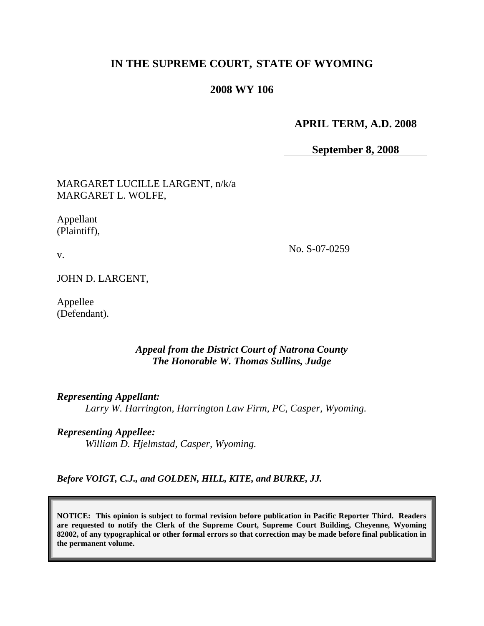# **IN THE SUPREME COURT, STATE OF WYOMING**

### **2008 WY 106**

#### **APRIL TERM, A.D. 2008**

**September 8, 2008**

MARGARET LUCILLE LARGENT, n/k/a MARGARET L. WOLFE,

Appellant (Plaintiff),

v.

No. S-07-0259

JOHN D. LARGENT,

Appellee (Defendant).

#### *Appeal from the District Court of Natrona County The Honorable W. Thomas Sullins, Judge*

*Representing Appellant:*

*Larry W. Harrington, Harrington Law Firm, PC, Casper, Wyoming.*

*Representing Appellee:*

*William D. Hjelmstad, Casper, Wyoming.*

*Before VOIGT, C.J., and GOLDEN, HILL, KITE, and BURKE, JJ.*

**NOTICE: This opinion is subject to formal revision before publication in Pacific Reporter Third. Readers are requested to notify the Clerk of the Supreme Court, Supreme Court Building, Cheyenne, Wyoming 82002, of any typographical or other formal errors so that correction may be made before final publication in the permanent volume.**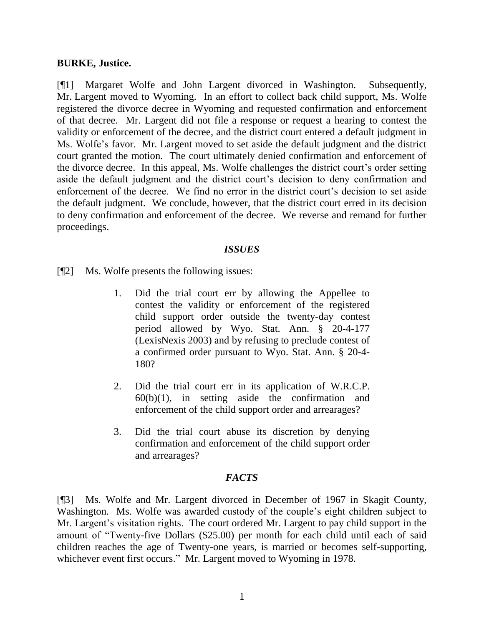#### **BURKE, Justice.**

[¶1] Margaret Wolfe and John Largent divorced in Washington. Subsequently, Mr. Largent moved to Wyoming. In an effort to collect back child support, Ms. Wolfe registered the divorce decree in Wyoming and requested confirmation and enforcement of that decree. Mr. Largent did not file a response or request a hearing to contest the validity or enforcement of the decree, and the district court entered a default judgment in Ms. Wolfe"s favor. Mr. Largent moved to set aside the default judgment and the district court granted the motion. The court ultimately denied confirmation and enforcement of the divorce decree. In this appeal, Ms. Wolfe challenges the district court's order setting aside the default judgment and the district court's decision to deny confirmation and enforcement of the decree. We find no error in the district court's decision to set aside the default judgment. We conclude, however, that the district court erred in its decision to deny confirmation and enforcement of the decree. We reverse and remand for further proceedings.

#### *ISSUES*

[¶2] Ms. Wolfe presents the following issues:

- 1. Did the trial court err by allowing the Appellee to contest the validity or enforcement of the registered child support order outside the twenty-day contest period allowed by Wyo. Stat. Ann. § 20-4-177 (LexisNexis 2003) and by refusing to preclude contest of a confirmed order pursuant to Wyo. Stat. Ann. § 20-4- 180?
- 2. Did the trial court err in its application of W.R.C.P.  $60(b)(1)$ , in setting aside the confirmation and enforcement of the child support order and arrearages?
- 3. Did the trial court abuse its discretion by denying confirmation and enforcement of the child support order and arrearages?

## *FACTS*

[¶3] Ms. Wolfe and Mr. Largent divorced in December of 1967 in Skagit County, Washington. Ms. Wolfe was awarded custody of the couple's eight children subject to Mr. Largent's visitation rights. The court ordered Mr. Largent to pay child support in the amount of "Twenty-five Dollars (\$25.00) per month for each child until each of said children reaches the age of Twenty-one years, is married or becomes self-supporting, whichever event first occurs." Mr. Largent moved to Wyoming in 1978.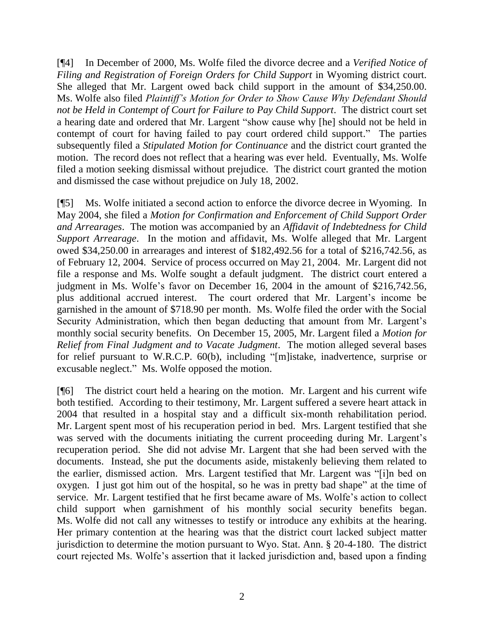[¶4] In December of 2000, Ms. Wolfe filed the divorce decree and a *Verified Notice of Filing and Registration of Foreign Orders for Child Support* in Wyoming district court. She alleged that Mr. Largent owed back child support in the amount of \$34,250.00. Ms. Wolfe also filed *Plaintiff's Motion for Order to Show Cause Why Defendant Should not be Held in Contempt of Court for Failure to Pay Child Support*. The district court set a hearing date and ordered that Mr. Largent "show cause why [he] should not be held in contempt of court for having failed to pay court ordered child support." The parties subsequently filed a *Stipulated Motion for Continuance* and the district court granted the motion. The record does not reflect that a hearing was ever held. Eventually, Ms. Wolfe filed a motion seeking dismissal without prejudice. The district court granted the motion and dismissed the case without prejudice on July 18, 2002.

[¶5] Ms. Wolfe initiated a second action to enforce the divorce decree in Wyoming. In May 2004, she filed a *Motion for Confirmation and Enforcement of Child Support Order and Arrearages*. The motion was accompanied by an *Affidavit of Indebtedness for Child Support Arrearage*. In the motion and affidavit, Ms. Wolfe alleged that Mr. Largent owed \$34,250.00 in arrearages and interest of \$182,492.56 for a total of \$216,742.56, as of February 12, 2004. Service of process occurred on May 21, 2004. Mr. Largent did not file a response and Ms. Wolfe sought a default judgment. The district court entered a judgment in Ms. Wolfe's favor on December 16, 2004 in the amount of \$216,742.56, plus additional accrued interest. The court ordered that Mr. Largent"s income be garnished in the amount of \$718.90 per month. Ms. Wolfe filed the order with the Social Security Administration, which then began deducting that amount from Mr. Largent's monthly social security benefits. On December 15, 2005, Mr. Largent filed a *Motion for Relief from Final Judgment and to Vacate Judgment*. The motion alleged several bases for relief pursuant to W.R.C.P. 60(b), including "[m]istake, inadvertence, surprise or excusable neglect." Ms. Wolfe opposed the motion.

[¶6] The district court held a hearing on the motion. Mr. Largent and his current wife both testified. According to their testimony, Mr. Largent suffered a severe heart attack in 2004 that resulted in a hospital stay and a difficult six-month rehabilitation period. Mr. Largent spent most of his recuperation period in bed. Mrs. Largent testified that she was served with the documents initiating the current proceeding during Mr. Largent's recuperation period. She did not advise Mr. Largent that she had been served with the documents. Instead, she put the documents aside, mistakenly believing them related to the earlier, dismissed action. Mrs. Largent testified that Mr. Largent was "[i]n bed on oxygen. I just got him out of the hospital, so he was in pretty bad shape" at the time of service. Mr. Largent testified that he first became aware of Ms. Wolfe"s action to collect child support when garnishment of his monthly social security benefits began. Ms. Wolfe did not call any witnesses to testify or introduce any exhibits at the hearing. Her primary contention at the hearing was that the district court lacked subject matter jurisdiction to determine the motion pursuant to Wyo. Stat. Ann. § 20-4-180. The district court rejected Ms. Wolfe"s assertion that it lacked jurisdiction and, based upon a finding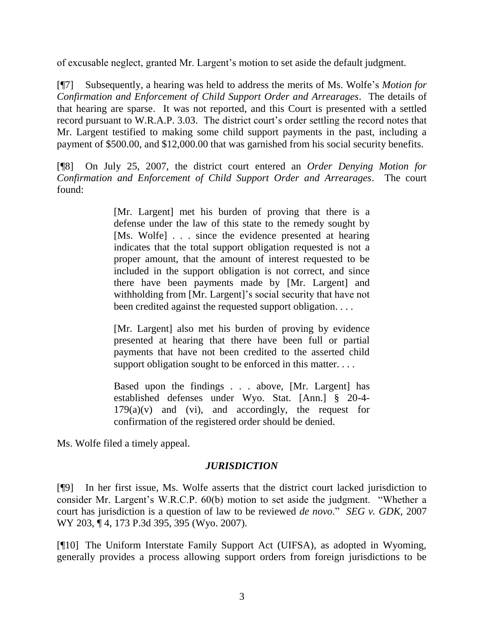of excusable neglect, granted Mr. Largent"s motion to set aside the default judgment.

[¶7] Subsequently, a hearing was held to address the merits of Ms. Wolfe"s *Motion for Confirmation and Enforcement of Child Support Order and Arrearages*. The details of that hearing are sparse. It was not reported, and this Court is presented with a settled record pursuant to W.R.A.P. 3.03. The district court's order settling the record notes that Mr. Largent testified to making some child support payments in the past, including a payment of \$500.00, and \$12,000.00 that was garnished from his social security benefits.

[¶8] On July 25, 2007, the district court entered an *Order Denying Motion for Confirmation and Enforcement of Child Support Order and Arrearages*. The court found:

> [Mr. Largent] met his burden of proving that there is a defense under the law of this state to the remedy sought by [Ms. Wolfe] . . . since the evidence presented at hearing indicates that the total support obligation requested is not a proper amount, that the amount of interest requested to be included in the support obligation is not correct, and since there have been payments made by [Mr. Largent] and withholding from [Mr. Largent]'s social security that have not been credited against the requested support obligation. . . .

> [Mr. Largent] also met his burden of proving by evidence presented at hearing that there have been full or partial payments that have not been credited to the asserted child support obligation sought to be enforced in this matter. . . .

> Based upon the findings . . . above, [Mr. Largent] has established defenses under Wyo. Stat. [Ann.] § 20-4-  $179(a)(v)$  and (vi), and accordingly, the request for confirmation of the registered order should be denied.

Ms. Wolfe filed a timely appeal.

## *JURISDICTION*

[¶9] In her first issue, Ms. Wolfe asserts that the district court lacked jurisdiction to consider Mr. Largent"s W.R.C.P. 60(b) motion to set aside the judgment. "Whether a court has jurisdiction is a question of law to be reviewed *de novo*." *SEG v. GDK*, 2007 WY 203, ¶ 4, 173 P.3d 395, 395 (Wyo. 2007).

[¶10] The Uniform Interstate Family Support Act (UIFSA), as adopted in Wyoming, generally provides a process allowing support orders from foreign jurisdictions to be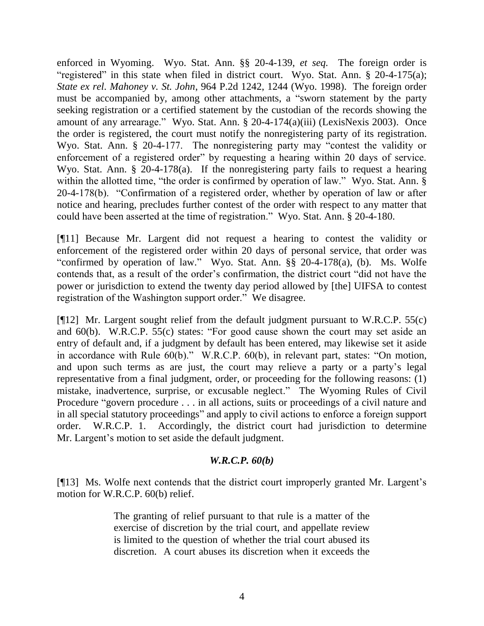enforced in Wyoming. Wyo. Stat. Ann. §§ 20-4-139, *et seq.* The foreign order is "registered" in this state when filed in district court. Wyo. Stat. Ann. § 20-4-175(a); *State ex rel. Mahoney v. St. John*, 964 P.2d 1242, 1244 (Wyo. 1998). The foreign order must be accompanied by, among other attachments, a "sworn statement by the party seeking registration or a certified statement by the custodian of the records showing the amount of any arrearage." Wyo. Stat. Ann. § 20-4-174(a)(iii) (LexisNexis 2003). Once the order is registered, the court must notify the nonregistering party of its registration. Wyo. Stat. Ann. § 20-4-177. The nonregistering party may "contest the validity or enforcement of a registered order" by requesting a hearing within 20 days of service. Wyo. Stat. Ann. § 20-4-178(a). If the nonregistering party fails to request a hearing within the allotted time, "the order is confirmed by operation of law." Wyo. Stat. Ann. § 20-4-178(b). "Confirmation of a registered order, whether by operation of law or after notice and hearing, precludes further contest of the order with respect to any matter that could have been asserted at the time of registration." Wyo. Stat. Ann. § 20-4-180.

[¶11] Because Mr. Largent did not request a hearing to contest the validity or enforcement of the registered order within 20 days of personal service, that order was "confirmed by operation of law." Wyo. Stat. Ann. §§ 20-4-178(a), (b). Ms. Wolfe contends that, as a result of the order"s confirmation, the district court "did not have the power or jurisdiction to extend the twenty day period allowed by [the] UIFSA to contest registration of the Washington support order." We disagree.

[¶12] Mr. Largent sought relief from the default judgment pursuant to W.R.C.P. 55(c) and 60(b). W.R.C.P. 55(c) states: "For good cause shown the court may set aside an entry of default and, if a judgment by default has been entered, may likewise set it aside in accordance with Rule 60(b)." W.R.C.P. 60(b), in relevant part, states: "On motion, and upon such terms as are just, the court may relieve a party or a party's legal representative from a final judgment, order, or proceeding for the following reasons: (1) mistake, inadvertence, surprise, or excusable neglect." The Wyoming Rules of Civil Procedure "govern procedure . . . in all actions, suits or proceedings of a civil nature and in all special statutory proceedings" and apply to civil actions to enforce a foreign support order. W.R.C.P. 1. Accordingly, the district court had jurisdiction to determine Mr. Largent's motion to set aside the default judgment.

## *W.R.C.P. 60(b)*

[¶13] Ms. Wolfe next contends that the district court improperly granted Mr. Largent's motion for W.R.C.P. 60(b) relief.

> The granting of relief pursuant to that rule is a matter of the exercise of discretion by the trial court, and appellate review is limited to the question of whether the trial court abused its discretion. A court abuses its discretion when it exceeds the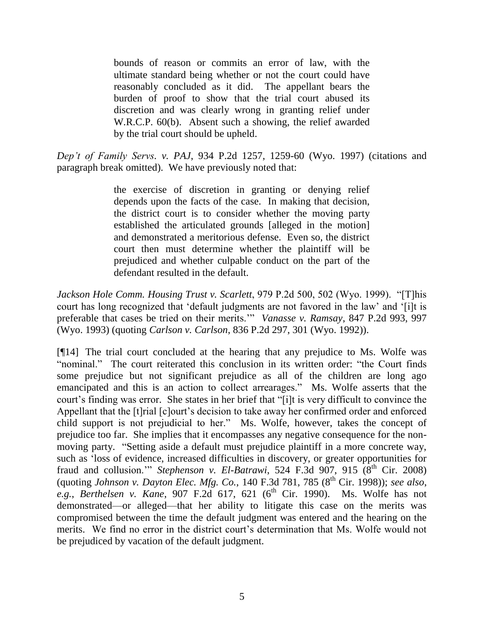bounds of reason or commits an error of law, with the ultimate standard being whether or not the court could have reasonably concluded as it did. The appellant bears the burden of proof to show that the trial court abused its discretion and was clearly wrong in granting relief under W.R.C.P. 60(b). Absent such a showing, the relief awarded by the trial court should be upheld.

*Dep't of Family Servs. v. PAJ*, 934 P.2d 1257, 1259-60 (Wyo. 1997) (citations and paragraph break omitted). We have previously noted that:

> the exercise of discretion in granting or denying relief depends upon the facts of the case. In making that decision, the district court is to consider whether the moving party established the articulated grounds [alleged in the motion] and demonstrated a meritorious defense. Even so, the district court then must determine whether the plaintiff will be prejudiced and whether culpable conduct on the part of the defendant resulted in the default.

*Jackson Hole Comm. Housing Trust v. Scarlett*, 979 P.2d 500, 502 (Wyo. 1999). "[T]his court has long recognized that "default judgments are not favored in the law" and "[i]t is preferable that cases be tried on their merits."" *Vanasse v. Ramsay*, 847 P.2d 993, 997 (Wyo. 1993) (quoting *Carlson v. Carlson*, 836 P.2d 297, 301 (Wyo. 1992)).

[¶14] The trial court concluded at the hearing that any prejudice to Ms. Wolfe was "nominal." The court reiterated this conclusion in its written order: "the Court finds some prejudice but not significant prejudice as all of the children are long ago emancipated and this is an action to collect arrearages." Ms. Wolfe asserts that the court"s finding was error. She states in her brief that "[i]t is very difficult to convince the Appellant that the [t]rial [c]ourt"s decision to take away her confirmed order and enforced child support is not prejudicial to her." Ms. Wolfe, however, takes the concept of prejudice too far. She implies that it encompasses any negative consequence for the nonmoving party. "Setting aside a default must prejudice plaintiff in a more concrete way, such as "loss of evidence, increased difficulties in discovery, or greater opportunities for fraud and collusion."" *Stephenson v. El-Batrawi*, 524 F.3d 907, 915 (8<sup>th</sup> Cir. 2008) (quoting *Johnson v. Dayton Elec. Mfg. Co.*, 140 F.3d 781, 785 (8<sup>th</sup> Cir. 1998)); *see also*, e.g., *Berthelsen v. Kane*, 907 F.2d 617, 621 (6<sup>th</sup> Cir. 1990). Ms. Wolfe has not demonstrated—or alleged—that her ability to litigate this case on the merits was compromised between the time the default judgment was entered and the hearing on the merits. We find no error in the district court's determination that Ms. Wolfe would not be prejudiced by vacation of the default judgment.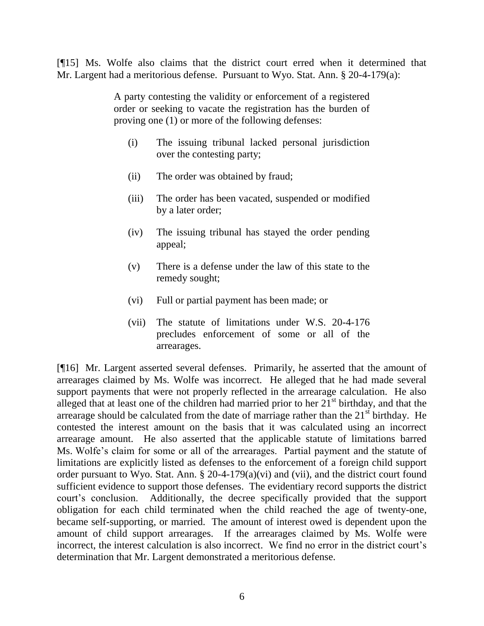[¶15] Ms. Wolfe also claims that the district court erred when it determined that Mr. Largent had a meritorious defense. Pursuant to Wyo. Stat. Ann. § 20-4-179(a):

> A party contesting the validity or enforcement of a registered order or seeking to vacate the registration has the burden of proving one (1) or more of the following defenses:

- (i) The issuing tribunal lacked personal jurisdiction over the contesting party;
- (ii) The order was obtained by fraud;
- (iii) The order has been vacated, suspended or modified by a later order;
- (iv) The issuing tribunal has stayed the order pending appeal;
- (v) There is a defense under the law of this state to the remedy sought;
- (vi) Full or partial payment has been made; or
- (vii) The statute of limitations under W.S. 20-4-176 precludes enforcement of some or all of the arrearages.

[¶16] Mr. Largent asserted several defenses. Primarily, he asserted that the amount of arrearages claimed by Ms. Wolfe was incorrect. He alleged that he had made several support payments that were not properly reflected in the arrearage calculation. He also alleged that at least one of the children had married prior to her  $21<sup>st</sup>$  birthday, and that the arrearage should be calculated from the date of marriage rather than the  $21<sup>st</sup>$  birthday. He contested the interest amount on the basis that it was calculated using an incorrect arrearage amount. He also asserted that the applicable statute of limitations barred Ms. Wolfe's claim for some or all of the arrearages. Partial payment and the statute of limitations are explicitly listed as defenses to the enforcement of a foreign child support order pursuant to Wyo. Stat. Ann. § 20-4-179(a)(vi) and (vii), and the district court found sufficient evidence to support those defenses. The evidentiary record supports the district court"s conclusion. Additionally, the decree specifically provided that the support obligation for each child terminated when the child reached the age of twenty-one, became self-supporting, or married. The amount of interest owed is dependent upon the amount of child support arrearages. If the arrearages claimed by Ms. Wolfe were incorrect, the interest calculation is also incorrect. We find no error in the district court's determination that Mr. Largent demonstrated a meritorious defense.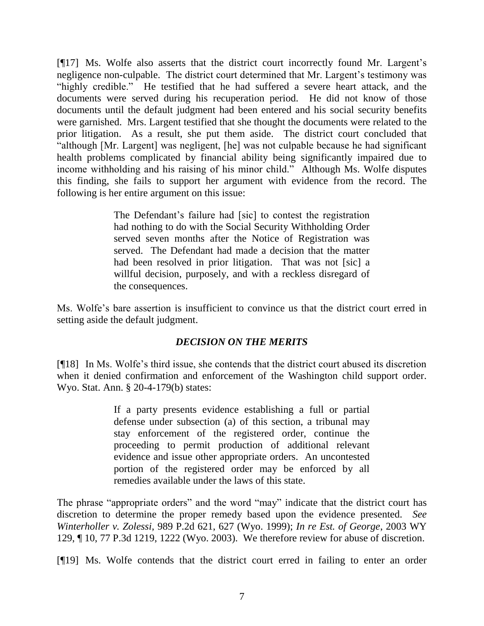[¶17] Ms. Wolfe also asserts that the district court incorrectly found Mr. Largent"s negligence non-culpable. The district court determined that Mr. Largent's testimony was "highly credible." He testified that he had suffered a severe heart attack, and the documents were served during his recuperation period. He did not know of those documents until the default judgment had been entered and his social security benefits were garnished. Mrs. Largent testified that she thought the documents were related to the prior litigation. As a result, she put them aside. The district court concluded that "although [Mr. Largent] was negligent, [he] was not culpable because he had significant health problems complicated by financial ability being significantly impaired due to income withholding and his raising of his minor child." Although Ms. Wolfe disputes this finding, she fails to support her argument with evidence from the record. The following is her entire argument on this issue:

> The Defendant's failure had [sic] to contest the registration had nothing to do with the Social Security Withholding Order served seven months after the Notice of Registration was served. The Defendant had made a decision that the matter had been resolved in prior litigation. That was not [sic] a willful decision, purposely, and with a reckless disregard of the consequences.

Ms. Wolfe"s bare assertion is insufficient to convince us that the district court erred in setting aside the default judgment.

## *DECISION ON THE MERITS*

[¶18] In Ms. Wolfe"s third issue, she contends that the district court abused its discretion when it denied confirmation and enforcement of the Washington child support order. Wyo. Stat. Ann. § 20-4-179(b) states:

> If a party presents evidence establishing a full or partial defense under subsection (a) of this section, a tribunal may stay enforcement of the registered order, continue the proceeding to permit production of additional relevant evidence and issue other appropriate orders. An uncontested portion of the registered order may be enforced by all remedies available under the laws of this state.

The phrase "appropriate orders" and the word "may" indicate that the district court has discretion to determine the proper remedy based upon the evidence presented. *See Winterholler v. Zolessi*, 989 P.2d 621, 627 (Wyo. 1999); *In re Est. of George*, 2003 WY 129, ¶ 10, 77 P.3d 1219, 1222 (Wyo. 2003). We therefore review for abuse of discretion.

[¶19] Ms. Wolfe contends that the district court erred in failing to enter an order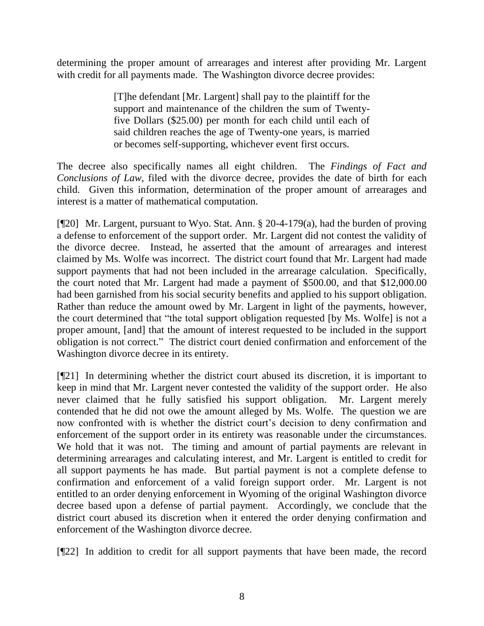determining the proper amount of arrearages and interest after providing Mr. Largent with credit for all payments made. The Washington divorce decree provides:

> [T]he defendant [Mr. Largent] shall pay to the plaintiff for the support and maintenance of the children the sum of Twentyfive Dollars (\$25.00) per month for each child until each of said children reaches the age of Twenty-one years, is married or becomes self-supporting, whichever event first occurs.

The decree also specifically names all eight children. The *Findings of Fact and Conclusions of Law*, filed with the divorce decree, provides the date of birth for each child. Given this information, determination of the proper amount of arrearages and interest is a matter of mathematical computation.

[¶20] Mr. Largent, pursuant to Wyo. Stat. Ann. § 20-4-179(a), had the burden of proving a defense to enforcement of the support order. Mr. Largent did not contest the validity of the divorce decree. Instead, he asserted that the amount of arrearages and interest claimed by Ms. Wolfe was incorrect. The district court found that Mr. Largent had made support payments that had not been included in the arrearage calculation. Specifically, the court noted that Mr. Largent had made a payment of \$500.00, and that \$12,000.00 had been garnished from his social security benefits and applied to his support obligation. Rather than reduce the amount owed by Mr. Largent in light of the payments, however, the court determined that "the total support obligation requested [by Ms. Wolfe] is not a proper amount, [and] that the amount of interest requested to be included in the support obligation is not correct." The district court denied confirmation and enforcement of the Washington divorce decree in its entirety.

[¶21] In determining whether the district court abused its discretion, it is important to keep in mind that Mr. Largent never contested the validity of the support order. He also never claimed that he fully satisfied his support obligation. Mr. Largent merely contended that he did not owe the amount alleged by Ms. Wolfe. The question we are now confronted with is whether the district court's decision to deny confirmation and enforcement of the support order in its entirety was reasonable under the circumstances. We hold that it was not. The timing and amount of partial payments are relevant in determining arrearages and calculating interest, and Mr. Largent is entitled to credit for all support payments he has made. But partial payment is not a complete defense to confirmation and enforcement of a valid foreign support order. Mr. Largent is not entitled to an order denying enforcement in Wyoming of the original Washington divorce decree based upon a defense of partial payment. Accordingly, we conclude that the district court abused its discretion when it entered the order denying confirmation and enforcement of the Washington divorce decree.

[¶22] In addition to credit for all support payments that have been made, the record